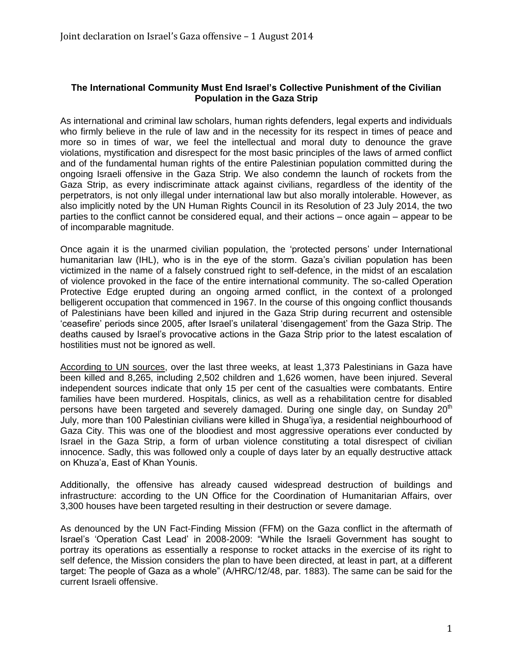## **The International Community Must End Israel's Collective Punishment of the Civilian Population in the Gaza Strip**

As international and criminal law scholars, human rights defenders, legal experts and individuals who firmly believe in the rule of law and in the necessity for its respect in times of peace and more so in times of war, we feel the intellectual and moral duty to denounce the grave violations, mystification and disrespect for the most basic principles of the laws of armed conflict and of the fundamental human rights of the entire Palestinian population committed during the ongoing Israeli offensive in the Gaza Strip. We also condemn the launch of rockets from the Gaza Strip, as every indiscriminate attack against civilians, regardless of the identity of the perpetrators, is not only illegal under international law but also morally intolerable. However, as also implicitly noted by the UN Human Rights Council in its Resolution of 23 July 2014, the two parties to the conflict cannot be considered equal, and their actions – once again – appear to be of incomparable magnitude.

Once again it is the unarmed civilian population, the 'protected persons' under International humanitarian law (IHL), who is in the eye of the storm. Gaza's civilian population has been victimized in the name of a falsely construed right to self-defence, in the midst of an escalation of violence provoked in the face of the entire international community. The so-called Operation Protective Edge erupted during an ongoing armed conflict, in the context of a prolonged belligerent occupation that commenced in 1967. In the course of this ongoing conflict thousands of Palestinians have been killed and injured in the Gaza Strip during recurrent and ostensible 'ceasefire' periods since 2005, after Israel's unilateral 'disengagement' from the Gaza Strip. The deaths caused by Israel's provocative actions in the Gaza Strip prior to the latest escalation of hostilities must not be ignored as well.

[According to UN sources,](http://www.ochaopt.org/documents/humanitarian_Snapshot_31July2014_oPt_V2.pdf) over the last three weeks, at least 1,373 Palestinians in Gaza have been killed and 8,265, including 2,502 children and 1,626 women, have been injured. Several independent sources indicate that only 15 per cent of the casualties were combatants. Entire families have been murdered. Hospitals, clinics, as well as a rehabilitation centre for disabled persons have been targeted and severely damaged. During one single day, on Sunday 20<sup>th</sup> July, more than 100 Palestinian civilians were killed in Shuga'iya, a residential neighbourhood of Gaza City. This was one of the bloodiest and most aggressive operations ever conducted by Israel in the Gaza Strip, a form of urban violence constituting a total disrespect of civilian innocence. Sadly, this was followed only a couple of days later by an equally destructive attack on Khuza'a, East of Khan Younis.

Additionally, the offensive has already caused widespread destruction of buildings and infrastructure: according to the UN Office for the Coordination of Humanitarian Affairs, over 3,300 houses have been targeted resulting in their destruction or severe damage.

As denounced by the UN Fact-Finding Mission (FFM) on the Gaza conflict in the aftermath of Israel's 'Operation Cast Lead' in 2008-2009: "While the Israeli Government has sought to portray its operations as essentially a response to rocket attacks in the exercise of its right to self defence, the Mission considers the plan to have been directed, at least in part, at a different target: The people of Gaza as a whole" (A/HRC/12/48, par. 1883). The same can be said for the current Israeli offensive.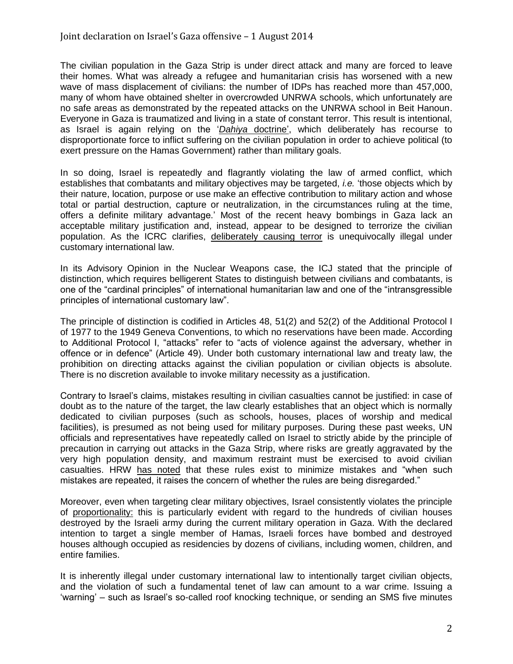The civilian population in the Gaza Strip is under direct attack and many are forced to leave their homes. What was already a refugee and humanitarian crisis has worsened with a new wave of mass displacement of civilians: the number of IDPs has reached more than 457,000, many of whom have obtained shelter in overcrowded UNRWA schools, which unfortunately are no safe areas as demonstrated by the repeated attacks on the UNRWA school in Beit Hanoun. Everyone in Gaza is traumatized and living in a state of constant terror. This result is intentional, as Israel is again relying on the '*Dahiya* [doctrine'](http://www2.ohchr.org/english/bodies/hrcouncil/docs/12session/A-HRC-12-48.pdf), which deliberately has recourse to disproportionate force to inflict suffering on the civilian population in order to achieve political (to exert pressure on the Hamas Government) rather than military goals.

In so doing, Israel is repeatedly and flagrantly violating the law of armed conflict, which establishes that combatants and military objectives may be targeted, *i.e.* 'those objects which by their nature, location, purpose or use make an effective contribution to military action and whose total or partial destruction, capture or neutralization, in the circumstances ruling at the time, offers a definite military advantage.' Most of the recent heavy bombings in Gaza lack an acceptable military justification and, instead, appear to be designed to terrorize the civilian population. As the ICRC clarifies, [deliberately causing terror](http://www.icrc.org/customary-ihl/eng/docs/v1_rul_rule2) is unequivocally illegal under customary international law.

In its Advisory Opinion in the Nuclear Weapons case, the ICJ stated that the principle of distinction, which requires belligerent States to distinguish between civilians and combatants, is one of the "cardinal principles" of international humanitarian law and one of the "intransgressible principles of international customary law".

The principle of distinction is codified in Articles 48, 51(2) and 52(2) of the Additional Protocol I of 1977 to the 1949 Geneva Conventions, to which no reservations have been made. According to Additional Protocol I, "attacks" refer to "acts of violence against the adversary, whether in offence or in defence" (Article 49). Under both customary international law and treaty law, the prohibition on directing attacks against the civilian population or civilian objects is absolute. There is no discretion available to invoke military necessity as a justification.

Contrary to Israel's claims, mistakes resulting in civilian casualties cannot be justified: in case of doubt as to the nature of the target, the law clearly establishes that an object which is normally dedicated to civilian purposes (such as schools, houses, places of worship and medical facilities), is presumed as not being used for military purposes. During these past weeks, UN officials and representatives have repeatedly called on Israel to strictly abide by the principle of precaution in carrying out attacks in the Gaza Strip, where risks are greatly aggravated by the very high population density, and maximum restraint must be exercised to avoid civilian casualties. HRW [has noted](http://www.hrw.org/news/2014/07/17/dispatches-explaining-four-dead-boys-gaza-beach) that these rules exist to minimize mistakes and "when such mistakes are repeated, it raises the concern of whether the rules are being disregarded."

Moreover, even when targeting clear military objectives, Israel consistently violates the principle of [proportionality:](http://www.icrc.org/customary-ihl/eng/docs/v1_rul_rule14) this is particularly evident with regard to the hundreds of civilian houses destroyed by the Israeli army during the current military operation in Gaza. With the declared intention to target a single member of Hamas, Israeli forces have bombed and destroyed houses although occupied as residencies by dozens of civilians, including women, children, and entire families.

It is inherently illegal under customary international law to intentionally target civilian objects, and the violation of such a fundamental tenet of law can amount to a war crime. Issuing a 'warning' – such as Israel's so-called roof knocking technique, or sending an SMS five minutes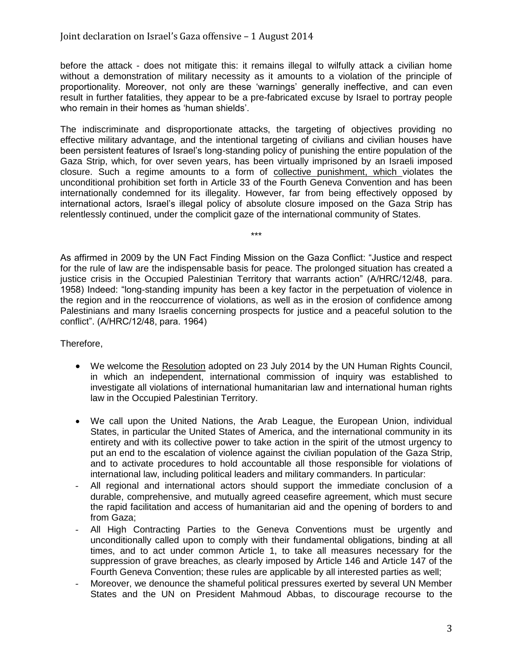before the attack - does not mitigate this: it remains illegal to wilfully attack a civilian home without a demonstration of military necessity as it amounts to a violation of the principle of proportionality. Moreover, not only are these 'warnings' generally ineffective, and can even result in further fatalities, they appear to be a pre-fabricated excuse by Israel to portray people who remain in their homes as 'human shields'.

The indiscriminate and disproportionate attacks, the targeting of objectives providing no effective military advantage, and the intentional targeting of civilians and civilian houses have been persistent features of Israel's long-standing policy of punishing the entire population of the Gaza Strip, which, for over seven years, has been virtually imprisoned by an Israeli imposed closure. Such a regime amounts to a form of [collective punishment,](http://www.icrc.org/customary-ihl/eng/docs/v1_rul_rule103) which violates the unconditional prohibition set forth in Article 33 of the Fourth Geneva Convention and has been internationally condemned for its illegality. However, far from being effectively opposed by international actors, Israel's illegal policy of absolute closure imposed on the Gaza Strip has relentlessly continued, under the complicit gaze of the international community of States.

As affirmed in 2009 by the UN Fact Finding Mission on the Gaza Conflict: "Justice and respect for the rule of law are the indispensable basis for peace. The prolonged situation has created a justice crisis in the Occupied Palestinian Territory that warrants action" (A/HRC/12/48, para. 1958) Indeed: "long-standing impunity has been a key factor in the perpetuation of violence in the region and in the reoccurrence of violations, as well as in the erosion of confidence among Palestinians and many Israelis concerning prospects for justice and a peaceful solution to the conflict". (A/HRC/12/48, para. 1964)

\*\*\*

Therefore,

- We welcome the [Resolution](http://www.ohchr.org/EN/HRBodies/HRC/SpecialSessions/Session21/Pages/21stSpecialSession.aspx) adopted on 23 July 2014 by the UN Human Rights Council, in which an independent, international commission of inquiry was established to investigate all violations of international humanitarian law and international human rights law in the Occupied Palestinian Territory.
- We call upon the United Nations, the Arab League, the European Union, individual States, in particular the United States of America, and the international community in its entirety and with its collective power to take action in the spirit of the utmost urgency to put an end to the escalation of violence against the civilian population of the Gaza Strip, and to activate procedures to hold accountable all those responsible for violations of international law, including political leaders and military commanders. In particular:
- All regional and international actors should support the immediate conclusion of a durable, comprehensive, and mutually agreed ceasefire agreement, which must secure the rapid facilitation and access of humanitarian aid and the opening of borders to and from Gaza;
- All High Contracting Parties to the Geneva Conventions must be urgently and unconditionally called upon to comply with their fundamental obligations, binding at all times, and to act under common Article 1, to take all measures necessary for the suppression of grave breaches, as clearly imposed by Article 146 and Article 147 of the Fourth Geneva Convention; these rules are applicable by all interested parties as well;
- Moreover, we denounce the shameful political pressures exerted by several UN Member States and the UN on President Mahmoud Abbas, to discourage recourse to the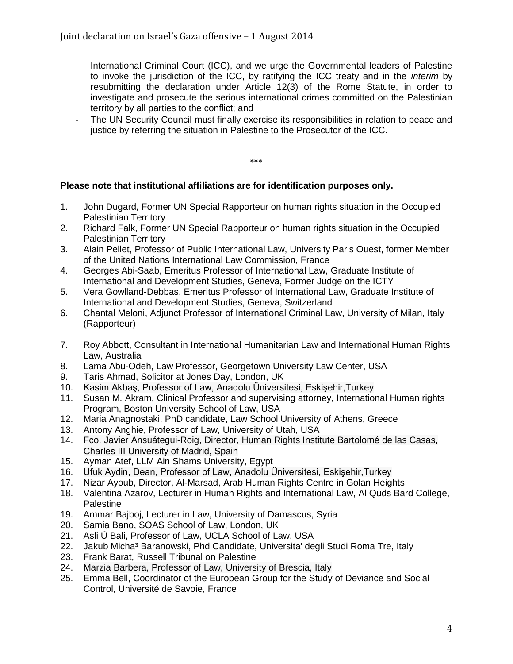International Criminal Court (ICC), and we urge the Governmental leaders of Palestine to invoke the jurisdiction of the ICC, by ratifying the ICC treaty and in the *interim* by resubmitting the declaration under Article 12(3) of the Rome Statute, in order to investigate and prosecute the serious international crimes committed on the Palestinian territory by all parties to the conflict; and

The UN Security Council must finally exercise its responsibilities in relation to peace and justice by referring the situation in Palestine to the Prosecutor of the ICC.

\*\*\*

## **Please note that institutional affiliations are for identification purposes only.**

- 1. John Dugard, Former UN Special Rapporteur on human rights situation in the Occupied Palestinian Territory
- 2. Richard Falk, Former UN Special Rapporteur on human rights situation in the Occupied Palestinian Territory
- 3. Alain Pellet, Professor of Public International Law, University Paris Ouest, former Member of the United Nations International Law Commission, France
- 4. Georges Abi-Saab, Emeritus Professor of International Law, Graduate Institute of International and Development Studies, Geneva, Former Judge on the ICTY
- 5. Vera Gowlland-Debbas, Emeritus Professor of International Law, Graduate Institute of International and Development Studies, Geneva, Switzerland
- 6. Chantal Meloni, Adjunct Professor of International Criminal Law, University of Milan, Italy (Rapporteur)
- 7. Roy Abbott, Consultant in International Humanitarian Law and International Human Rights Law, Australia
- 8. Lama Abu-Odeh, Law Professor, Georgetown University Law Center, USA
- 9. Taris Ahmad, Solicitor at Jones Day, London, UK
- 10. Kasim Akbaş, Professor of Law, Anadolu Üniversitesi, Eskişehir,Turkey
- 11. Susan M. Akram, Clinical Professor and supervising attorney, International Human rights Program, Boston University School of Law, USA
- 12. Maria Anagnostaki, PhD candidate, Law School University of Athens, Greece
- 13. Antony Anghie, Professor of Law, University of Utah, USA
- 14. Fco. Javier Ansuátegui-Roig, Director, Human Rights Institute Bartolomé de las Casas, Charles III University of Madrid, Spain
- 15. Ayman Atef, LLM Ain Shams University, Egypt
- 16. Ufuk Aydin, Dean, Professor of Law, Anadolu Üniversitesi, Eskişehir,Turkey
- 17. Nizar Ayoub, Director, Al-Marsad, Arab Human Rights Centre in Golan Heights
- 18. Valentina Azarov, Lecturer in Human Rights and International Law, Al Quds Bard College, **Palestine**
- 19. Ammar Bajboj, Lecturer in Law, University of Damascus, Syria
- 20. Samia Bano, SOAS School of Law, London, UK
- 21. Asli Ü Bali, Professor of Law, UCLA School of Law, USA
- 22. Jakub Micha<sup>3</sup> Baranowski, Phd Candidate, Universita' degli Studi Roma Tre, Italy
- 23. Frank Barat, Russell Tribunal on Palestine
- 24. Marzia Barbera, Professor of Law, University of Brescia, Italy
- 25. Emma Bell, Coordinator of the European Group for the Study of Deviance and Social Control, Université de Savoie, France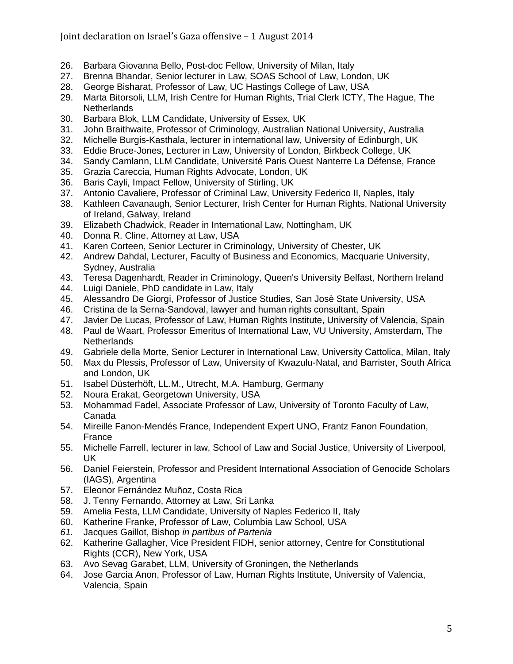## Joint declaration on Israel's Gaza offensive – 1 August 2014

- 26. Barbara Giovanna Bello, Post-doc Fellow, University of Milan, Italy
- 27. Brenna Bhandar, Senior lecturer in Law, SOAS School of Law, London, UK
- 28. George Bisharat, Professor of Law, UC Hastings College of Law, USA
- 29. Marta Bitorsoli, LLM, Irish Centre for Human Rights, Trial Clerk ICTY, The Hague, The **Netherlands**
- 30. Barbara Blok, LLM Candidate, University of Essex, UK
- 31. John Braithwaite, Professor of Criminology, Australian National University, Australia
- 32. Michelle Burgis-Kasthala, lecturer in international law, University of Edinburgh, UK
- 33. Eddie Bruce-Jones, Lecturer in Law, University of London, Birkbeck College, UK
- 34. Sandy Camlann, LLM Candidate, Université Paris Ouest Nanterre La Défense, France
- 35. Grazia Careccia, Human Rights Advocate, London, UK
- 36. Baris Cayli, Impact Fellow, University of Stirling, UK
- 37. Antonio Cavaliere, Professor of Criminal Law, University Federico II, Naples, Italy
- 38. Kathleen Cavanaugh, Senior Lecturer, Irish Center for Human Rights, National University of Ireland, Galway, Ireland
- 39. Elizabeth Chadwick, Reader in International Law, Nottingham, UK
- 40. Donna R. Cline, Attorney at Law, USA
- 41. Karen Corteen, Senior Lecturer in Criminology, University of Chester, UK
- 42. Andrew Dahdal, Lecturer, Faculty of Business and Economics, Macquarie University, Sydney, Australia
- 43. Teresa Dagenhardt, Reader in Criminology, Queen's University Belfast, Northern Ireland
- 44. Luigi Daniele, PhD candidate in Law, Italy
- 45. Alessandro De Giorgi, Professor of Justice Studies, San Josè State University, USA
- 46. Cristina de la Serna-Sandoval, lawyer and human rights consultant, Spain
- 47. Javier De Lucas, Professor of Law, Human Rights Institute, University of Valencia, Spain
- 48. Paul de Waart, Professor Emeritus of International Law, VU University, Amsterdam, The **Netherlands**
- 49. Gabriele della Morte, Senior Lecturer in International Law, University Cattolica, Milan, Italy
- 50. Max du Plessis, Professor of Law, University of Kwazulu-Natal, and Barrister, South Africa and London, UK
- 51. Isabel Düsterhöft, LL.M., Utrecht, M.A. Hamburg, Germany
- 52. Noura Erakat, Georgetown University, USA
- 53. Mohammad Fadel, Associate Professor of Law, University of Toronto Faculty of Law, Canada
- 54. Mireille Fanon-Mendés France, Independent Expert UNO, Frantz Fanon Foundation, France
- 55. Michelle Farrell, lecturer in law, School of Law and Social Justice, University of Liverpool, UK
- 56. Daniel Feierstein, Professor and President International Association of Genocide Scholars (IAGS), Argentina
- 57. Eleonor Fernández Muñoz, Costa Rica
- 58. J. Tenny Fernando, Attorney at Law, Sri Lanka
- 59. Amelia Festa, LLM Candidate, University of Naples Federico II, Italy
- 60. Katherine Franke, Professor of Law, Columbia Law School, USA
- *61.* Jacques Gaillot, Bishop *in partibus of Partenia*
- 62. Katherine Gallagher, Vice President FIDH, senior attorney, Centre for Constitutional Rights (CCR), New York, USA
- 63. Avo Sevag Garabet, LLM, University of Groningen, the Netherlands
- 64. Jose Garcia Anon, Professor of Law, Human Rights Institute, University of Valencia, Valencia, Spain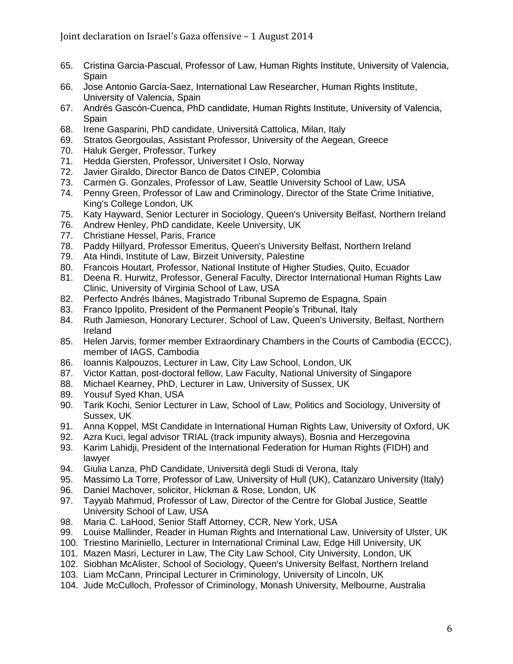- 65. Cristina Garcia-Pascual, Professor of Law, Human Rights Institute, University of Valencia, Spain
- 66. Jose Antonio García-Saez, International Law Researcher, Human Rights Institute, University of Valencia, Spain
- 67. Andrés Gascón-Cuenca, PhD candidate, Human Rights Institute, University of Valencia, Spain
- 68. Irene Gasparini, PhD candidate, Universitá Cattolica, Milan, Italy
- 69. Stratos Georgoulas, Assistant Professor, University of the Aegean, Greece
- 70. Haluk Gerger, Professor, Turkey
- 71. Hedda Giersten, Professor, Universitet I Oslo, Norway
- 72. Javier Giraldo, Director Banco de Datos CINEP, Colombia
- 73. Carmen G. Gonzales, Professor of Law, Seattle University School of Law, USA
- 74. Penny Green, Professor of Law and Criminology, Director of the State Crime Initiative, King's College London, UK
- 75. Katy Hayward, Senior Lecturer in Sociology, Queen's University Belfast, Northern Ireland
- 76. Andrew Henley, PhD candidate, Keele University, UK
- 77. Christiane Hessel, Paris, France
- 78. Paddy Hillyard, Professor Emeritus, Queen's University Belfast, Northern Ireland
- 79. Ata Hindi, Institute of Law, Birzeit University, Palestine
- 80. Francois Houtart, Professor, National Institute of Higher Studies, Quito, Ecuador
- 81. Deena R. Hurwitz, Professor, General Faculty, Director International Human Rights Law Clinic, University of Virginia School of Law, USA
- 82. Perfecto Andrés Ibánes, Magistrado Tribunal Supremo de Espagna, Spain
- 83. Franco Ippolito, President of the Permanent People's Tribunal, Italy
- 84. Ruth Jamieson, Honorary Lecturer, School of Law, Queen's University, Belfast, Northern Ireland
- 85. Helen Jarvis, former member Extraordinary Chambers in the Courts of Cambodia (ECCC), member of IAGS, Cambodia
- 86. Ioannis Kalpouzos, Lecturer in Law, City Law School, London, UK
- 87. Victor Kattan, post-doctoral fellow, Law Faculty, National University of Singapore
- 88. Michael Kearney, PhD, Lecturer in Law, University of Sussex, UK
- 89. Yousuf Syed Khan, USA
- 90. Tarik Kochi, Senior Lecturer in Law, School of Law, Politics and Sociology, University of Sussex, UK
- 91. Anna Koppel, MSt Candidate in International Human Rights Law, University of Oxford, UK
- 92. Azra Kuci, legal advisor TRIAL (track impunity always), Bosnia and Herzegovina
- 93. Karim Lahidji, President of the International Federation for Human Rights (FIDH) and lawyer
- 94. Giulia Lanza, PhD Candidate, Università degli Studi di Verona, Italy
- 95. Massimo La Torre, Professor of Law, University of Hull (UK), Catanzaro University (Italy)
- 96. Daniel Machover, solicitor, Hickman & Rose, London, UK
- 97. Tayyab Mahmud, Professor of Law, Director of the Centre for Global Justice, Seattle University School of Law, USA
- 98. Maria C. LaHood, Senior Staff Attorney, CCR, New York, USA
- 99. Louise Mallinder, Reader in Human Rights and International Law, University of Ulster, UK
- 100. Triestino Mariniello, Lecturer in International Criminal Law, Edge Hill University, UK
- 101. Mazen Masri, Lecturer in Law, The City Law School, City University, London, UK
- 102. Siobhan McAlister, School of Sociology, Queen's University Belfast, Northern Ireland
- 103. Liam McCann, Principal Lecturer in Criminology, University of Lincoln, UK
- 104. Jude McCulloch, Professor of Criminology, Monash University, Melbourne, Australia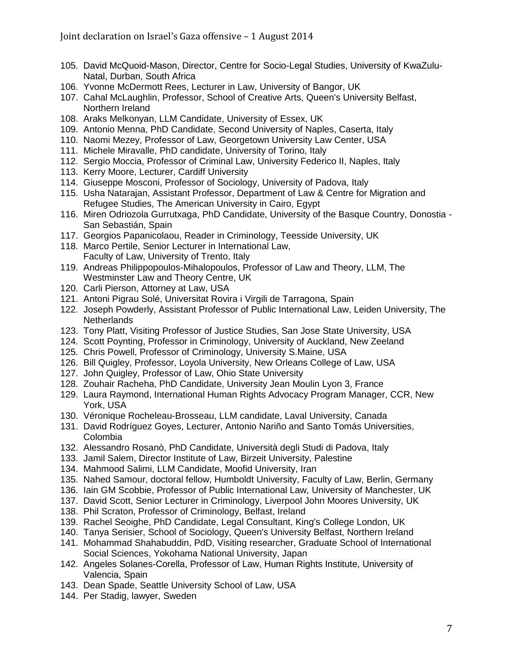- 105. David McQuoid-Mason, Director, Centre for Socio-Legal Studies, University of KwaZulu-Natal, Durban, South Africa
- 106. Yvonne McDermott Rees, Lecturer in Law, University of Bangor, UK
- 107. Cahal McLaughlin, Professor, School of Creative Arts, Queen's University Belfast, Northern Ireland
- 108. Araks Melkonyan, LLM Candidate, University of Essex, UK
- 109. Antonio Menna, PhD Candidate, Second University of Naples, Caserta, Italy
- 110. Naomi Mezey, Professor of Law, Georgetown University Law Center, USA
- 111. Michele Miravalle, PhD candidate, University of Torino, Italy
- 112. Sergio Moccia, Professor of Criminal Law, University Federico II, Naples, Italy
- 113. Kerry Moore, Lecturer, Cardiff University
- 114. Giuseppe Mosconi, Professor of Sociology, University of Padova, Italy
- 115. Usha Natarajan, Assistant Professor, Department of Law & Centre for Migration and Refugee Studies, The American University in Cairo, Egypt
- 116. Miren Odriozola Gurrutxaga, PhD Candidate, University of the Basque Country, Donostia San Sebastián, Spain
- 117. Georgios Papanicolaou, Reader in Criminology, Teesside University, UK
- 118. Marco Pertile, Senior Lecturer in International Law, Faculty of Law, University of Trento, Italy
- 119. Andreas Philippopoulos-Mihalopoulos, Professor of Law and Theory, LLM, The Westminster Law and Theory Centre, UK
- 120. Carli Pierson, Attorney at Law, USA
- 121. Antoni Pigrau Solé, Universitat Rovira i Virgili de Tarragona, Spain
- 122. Joseph Powderly, Assistant Professor of Public International Law, Leiden University, The **Netherlands**
- 123. Tony Platt, Visiting Professor of Justice Studies, San Jose State University, USA
- 124. Scott Poynting, Professor in Criminology, University of Auckland, New Zeeland
- 125. Chris Powell, Professor of Criminology, University S.Maine, USA
- 126. Bill Quigley, Professor, Loyola University, New Orleans College of Law, USA
- 127. John Quigley, Professor of Law, Ohio State University
- 128. Zouhair Racheha, PhD Candidate, University Jean Moulin Lyon 3, France
- 129. Laura Raymond, International Human Rights Advocacy Program Manager, CCR, New York, USA
- 130. Véronique Rocheleau-Brosseau, LLM candidate, Laval University, Canada
- 131. David Rodríguez Goyes, Lecturer, Antonio Nariño and Santo Tomás Universities, Colombia
- 132. Alessandro Rosanò, PhD Candidate, Università degli Studi di Padova, Italy
- 133. Jamil Salem, Director Institute of Law, Birzeit University, Palestine
- 134. Mahmood Salimi, LLM Candidate, Moofid University, Iran
- 135. Nahed Samour, doctoral fellow, Humboldt University, Faculty of Law, Berlin, Germany
- 136. Iain GM Scobbie, Professor of Public International Law, University of Manchester, UK
- 137. David Scott, Senior Lecturer in Criminology, Liverpool John Moores University, UK
- 138. Phil Scraton, Professor of Criminology, Belfast, Ireland
- 139. Rachel Seoighe, PhD Candidate, Legal Consultant, King's College London, UK
- 140. Tanya Serisier, School of Sociology, Queen's University Belfast, Northern Ireland
- 141. Mohammad Shahabuddin, PdD, Visiting researcher, Graduate School of International Social Sciences, Yokohama National University, Japan
- 142. Angeles Solanes-Corella, Professor of Law, Human Rights Institute, University of Valencia, Spain
- 143. Dean Spade, Seattle University School of Law, USA
- 144. Per Stadig, lawyer, Sweden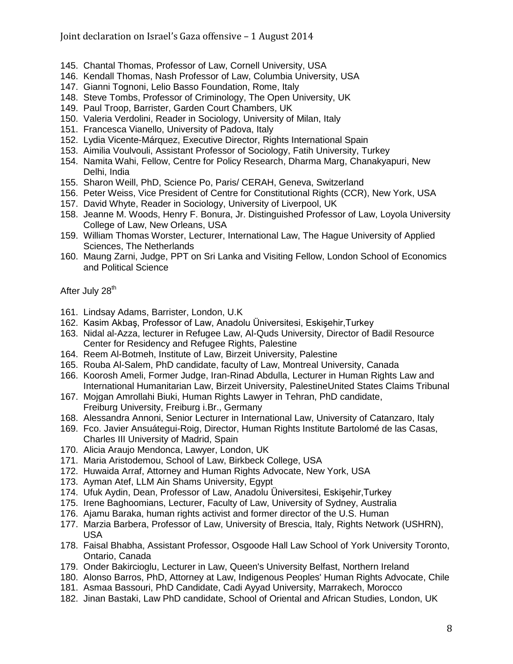Joint declaration on Israel's Gaza offensive – 1 August 2014

- 145. Chantal Thomas, Professor of Law, Cornell University, USA
- 146. Kendall Thomas, Nash Professor of Law, Columbia University, USA
- 147. Gianni Tognoni, Lelio Basso Foundation, Rome, Italy
- 148. Steve Tombs, Professor of Criminology, The Open University, UK
- 149. Paul Troop, Barrister, Garden Court Chambers, UK
- 150. Valeria Verdolini, Reader in Sociology, University of Milan, Italy
- 151. Francesca Vianello, University of Padova, Italy
- 152. Lydia Vicente-Márquez, Executive Director, Rights International Spain
- 153. Aimilia Voulvouli, Assistant Professor of Sociology, Fatih University, Turkey
- 154. Namita Wahi, Fellow, Centre for Policy Research, Dharma Marg, Chanakyapuri, New Delhi, India
- 155. Sharon Weill, PhD, Science Po, Paris/ CERAH, Geneva, Switzerland
- 156. Peter Weiss, Vice President of Centre for Constitutional Rights (CCR), New York, USA
- 157. David Whyte, Reader in Sociology, University of Liverpool, UK
- 158. Jeanne M. Woods, Henry F. Bonura, Jr. Distinguished Professor of Law, Loyola University College of Law, New Orleans, USA
- 159. William Thomas Worster, Lecturer, International Law, The Hague University of Applied Sciences, The Netherlands
- 160. Maung Zarni, Judge, PPT on Sri Lanka and Visiting Fellow, London School of Economics and Political Science

After July 28<sup>th</sup>

- 161. Lindsay Adams, Barrister, London, U.K
- 162. Kasim Akbaş, Professor of Law, Anadolu Üniversitesi, Eskişehir,Turkey
- 163. Nidal al-Azza, lecturer in Refugee Law, Al-Quds University, Director of Badil Resource Center for Residency and Refugee Rights, Palestine
- 164. Reem Al-Botmeh, Institute of Law, Birzeit University, Palestine
- 165. Rouba Al-Salem, PhD candidate, faculty of Law, Montreal University, Canada
- 166. Koorosh Ameli, Former Judge, Iran-Rinad Abdulla, Lecturer in Human Rights Law and International Humanitarian Law, Birzeit University, PalestineUnited States Claims Tribunal
- 167. Mojgan Amrollahi Biuki, Human Rights Lawyer in Tehran, PhD candidate, Freiburg University, Freiburg i.Br., Germany
- 168. Alessandra Annoni, Senior Lecturer in International Law, University of Catanzaro, Italy
- 169. Fco. Javier Ansuátegui-Roig, Director, Human Rights Institute Bartolomé de las Casas, Charles III University of Madrid, Spain
- 170. Alicia Araujo Mendonca, Lawyer, London, UK
- 171. Maria Aristodemou, School of Law, Birkbeck College, USA
- 172. Huwaida Arraf, Attorney and Human Rights Advocate, New York, USA
- 173. Ayman Atef, LLM Ain Shams University, Egypt
- 174. Ufuk Aydin, Dean, Professor of Law, Anadolu Üniversitesi, Eskişehir,Turkey
- 175. Irene Baghoomians, Lecturer, Faculty of Law, University of Sydney, Australia
- 176. Ajamu Baraka, human rights activist and former director of the U.S. Human
- 177. Marzia Barbera, Professor of Law, University of Brescia, Italy, Rights Network (USHRN), USA
- 178. Faisal Bhabha, Assistant Professor, Osgoode Hall Law School of York University Toronto, Ontario, Canada
- 179. Onder Bakircioglu, Lecturer in Law, Queen's University Belfast, Northern Ireland
- 180. Alonso Barros, PhD, Attorney at Law, Indigenous Peoples' Human Rights Advocate, Chile
- 181. Asmaa Bassouri, PhD Candidate, Cadi Ayyad University, Marrakech, Morocco
- 182. Jinan Bastaki, Law PhD candidate, School of Oriental and African Studies, London, UK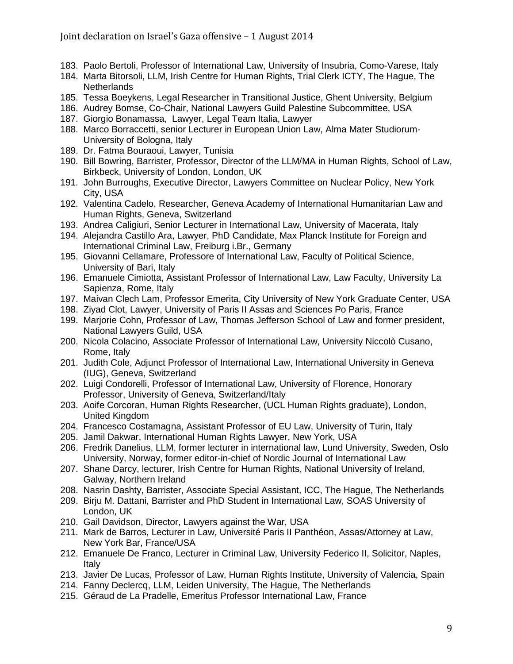- 183. Paolo Bertoli, Professor of International Law, University of Insubria, Como-Varese, Italy
- 184. Marta Bitorsoli, LLM, Irish Centre for Human Rights, Trial Clerk ICTY, The Hague, The **Netherlands**
- 185. Tessa Boeykens, Legal Researcher in Transitional Justice, Ghent University, Belgium
- 186. Audrey Bomse, Co-Chair, National Lawyers Guild Palestine Subcommittee, USA
- 187. Giorgio Bonamassa, Lawyer, Legal Team Italia, Lawyer
- 188. Marco Borraccetti, senior Lecturer in European Union Law, Alma Mater Studiorum-University of Bologna, Italy
- 189. Dr. Fatma Bouraoui, Lawyer, Tunisia
- 190. Bill Bowring, Barrister, Professor, Director of the LLM/MA in Human Rights, School of Law, Birkbeck, University of London, London, UK
- 191. John Burroughs, Executive Director, Lawyers Committee on Nuclear Policy, New York City, USA
- 192. Valentina Cadelo, Researcher, Geneva Academy of International Humanitarian Law and Human Rights, Geneva, Switzerland
- 193. Andrea Caligiuri, Senior Lecturer in International Law, University of Macerata, Italy
- 194. Alejandra Castillo Ara, Lawyer, PhD Candidate, Max Planck Institute for Foreign and International Criminal Law, Freiburg i.Br., Germany
- 195. Giovanni Cellamare, Professore of International Law, Faculty of Political Science, University of Bari, Italy
- 196. Emanuele Cimiotta, Assistant Professor of International Law, Law Faculty, University La Sapienza, Rome, Italy
- 197. Maivan Clech Lam, Professor Emerita, City University of New York Graduate Center, USA
- 198. Ziyad Clot, Lawyer, University of Paris II Assas and Sciences Po Paris, France
- 199. Marjorie Cohn, Professor of Law, Thomas Jefferson School of Law and former president, National Lawyers Guild, USA
- 200. Nicola Colacino, Associate Professor of International Law, University Niccolò Cusano, Rome, Italy
- 201. Judith Cole, Adjunct Professor of International Law, International University in Geneva (IUG), Geneva, Switzerland
- 202. Luigi Condorelli, Professor of International Law, University of Florence, Honorary Professor, University of Geneva, Switzerland/Italy
- 203. Aoife Corcoran, Human Rights Researcher, (UCL Human Rights graduate), London, United Kingdom
- 204. Francesco Costamagna, Assistant Professor of EU Law, University of Turin, Italy
- 205. Jamil Dakwar, International Human Rights Lawyer, New York, USA
- 206. Fredrik Danelius, LLM, former lecturer in international law, Lund University, Sweden, Oslo University, Norway, former editor-in-chief of Nordic Journal of International Law
- 207. Shane Darcy, lecturer, Irish Centre for Human Rights, National University of Ireland, Galway, Northern Ireland
- 208. Nasrin Dashty, Barrister, Associate Special Assistant, ICC, The Hague, The Netherlands
- 209. Birju M. Dattani, Barrister and PhD Student in International Law, SOAS University of London, UK
- 210. Gail Davidson, Director, Lawyers against the War, USA
- 211. Mark de Barros, Lecturer in Law, Université Paris II Panthéon, Assas/Attorney at Law, New York Bar, France/USA
- 212. Emanuele De Franco, Lecturer in Criminal Law, University Federico II, Solicitor, Naples, Italy
- 213. Javier De Lucas, Professor of Law, Human Rights Institute, University of Valencia, Spain
- 214. Fanny Declercq, LLM, Leiden University, The Hague, The Netherlands
- 215. Géraud de La Pradelle, Emeritus Professor International Law, France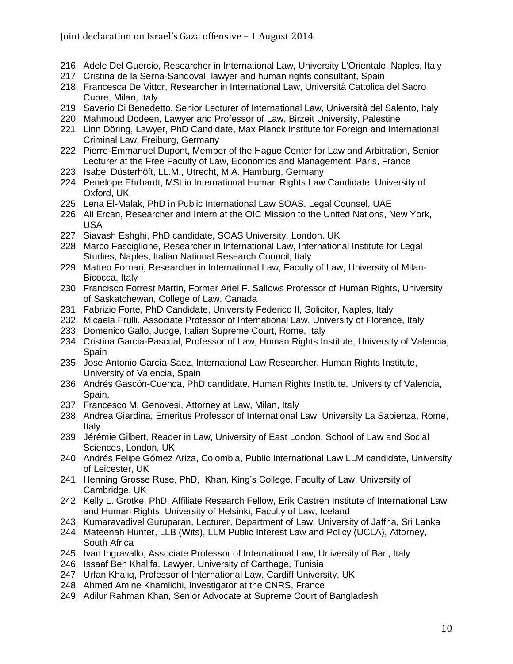- 216. Adele Del Guercio, Researcher in International Law, University L'Orientale, Naples, Italy
- 217. Cristina de la Serna-Sandoval, lawyer and human rights consultant, Spain
- 218. Francesca De Vittor, Researcher in International Law, Università Cattolica del Sacro Cuore, Milan, Italy
- 219. Saverio Di Benedetto, Senior Lecturer of International Law, Università del Salento, Italy
- 220. Mahmoud Dodeen, Lawyer and Professor of Law, Birzeit University, Palestine
- 221. Linn Döring, Lawyer, PhD Candidate, Max Planck Institute for Foreign and International Criminal Law, Freiburg, Germany
- 222. Pierre-Emmanuel Dupont, Member of the Hague Center for Law and Arbitration, Senior Lecturer at the Free Faculty of Law, Economics and Management, Paris, France
- 223. Isabel Düsterhöft, LL.M., Utrecht, M.A. Hamburg, Germany
- 224. Penelope Ehrhardt, MSt in International Human Rights Law Candidate, University of Oxford, UK
- 225. Lena El-Malak, PhD in Public International Law SOAS, Legal Counsel, UAE
- 226. Ali Ercan, Researcher and Intern at the OIC Mission to the United Nations, New York, USA
- 227. Siavash Eshghi, PhD candidate, SOAS University, London, UK
- 228. Marco Fasciglione, Researcher in International Law, International Institute for Legal Studies, Naples, Italian National Research Council, Italy
- 229. Matteo Fornari, Researcher in International Law, Faculty of Law, University of Milan-Bicocca, Italy
- 230. Francisco Forrest Martin, Former Ariel F. Sallows Professor of Human Rights, University of Saskatchewan, College of Law, Canada
- 231. Fabrizio Forte, PhD Candidate, University Federico II, Solicitor, Naples, Italy
- 232. Micaela Frulli, Associate Professor of International Law, University of Florence, Italy
- 233. Domenico Gallo, Judge, Italian Supreme Court, Rome, Italy
- 234. Cristina Garcia-Pascual, Professor of Law, Human Rights Institute, University of Valencia, Spain
- 235. Jose Antonio García-Saez, International Law Researcher, Human Rights Institute, University of Valencia, Spain
- 236. Andrés Gascón-Cuenca, PhD candidate, Human Rights Institute, University of Valencia, Spain.
- 237. Francesco M. Genovesi, Attorney at Law, Milan, Italy
- 238. Andrea Giardina, Emeritus Professor of International Law, University La Sapienza, Rome, Italy
- 239. Jérémie Gilbert, Reader in Law, University of East London, School of Law and Social Sciences, London, UK
- 240. Andrés Felipe Gómez Ariza, Colombia, Public International Law LLM candidate, University of Leicester, UK
- 241. Henning Grosse Ruse, PhD, Khan, King's College, Faculty of Law, University of Cambridge, UK
- 242. Kelly L. Grotke, PhD, Affiliate Research Fellow, Erik Castrén Institute of International Law and Human Rights, University of Helsinki, Faculty of Law, Iceland
- 243. Kumaravadivel Guruparan, Lecturer, Department of Law, University of Jaffna, Sri Lanka
- 244. Mateenah Hunter, LLB (Wits), LLM Public Interest Law and Policy (UCLA), Attorney, South Africa
- 245. Ivan Ingravallo, Associate Professor of International Law, University of Bari, Italy
- 246. Issaaf Ben Khalifa, Lawyer, University of Carthage, Tunisia
- 247. Urfan Khaliq, Professor of International Law, Cardiff University, UK
- 248. Ahmed Amine Khamlichi, Investigator at the CNRS, France
- 249. Adilur Rahman Khan, Senior Advocate at Supreme Court of Bangladesh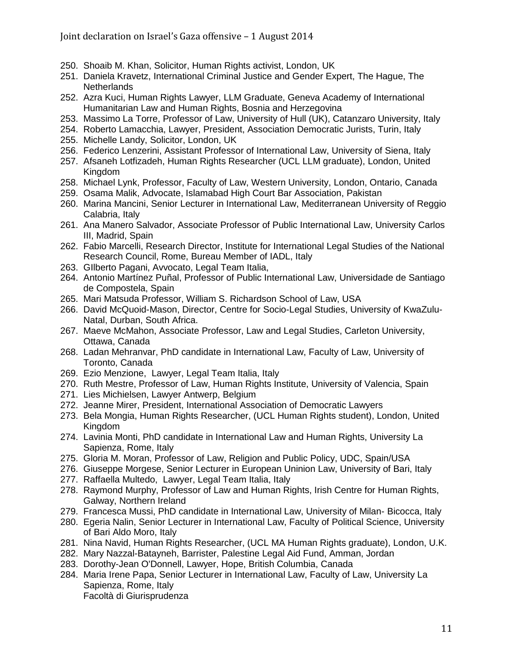- 250. Shoaib M. Khan, Solicitor, Human Rights activist, London, UK
- 251. Daniela Kravetz, International Criminal Justice and Gender Expert, The Hague, The **Netherlands**
- 252. Azra Kuci, Human Rights Lawyer, LLM Graduate, Geneva Academy of International Humanitarian Law and Human Rights, Bosnia and Herzegovina
- 253. Massimo La Torre, Professor of Law, University of Hull (UK), Catanzaro University, Italy
- 254. Roberto Lamacchia, Lawyer, President, Association Democratic Jurists, Turin, Italy
- 255. Michelle Landy, Solicitor, London, UK
- 256. Federico Lenzerini, Assistant Professor of International Law, University of Siena, Italy
- 257. Afsaneh Lotfizadeh, Human Rights Researcher (UCL LLM graduate), London, United Kingdom
- 258. Michael Lynk, Professor, Faculty of Law, Western University, London, Ontario, Canada
- 259. Osama Malik, Advocate, Islamabad High Court Bar Association, Pakistan
- 260. Marina Mancini, Senior Lecturer in International Law, Mediterranean University of Reggio Calabria, Italy
- 261. Ana Manero Salvador, Associate Professor of Public International Law, University Carlos III, Madrid, Spain
- 262. Fabio Marcelli, Research Director, Institute for International Legal Studies of the National Research Council, Rome, Bureau Member of IADL, Italy
- 263. GIlberto Pagani, Avvocato, Legal Team Italia,
- 264. Antonio Martínez Puñal, Professor of Public International Law, Universidade de Santiago de Compostela, Spain
- 265. Mari Matsuda Professor, William S. Richardson School of Law, USA
- 266. David McQuoid-Mason, Director, Centre for Socio-Legal Studies, University of KwaZulu-Natal, Durban, South Africa.
- 267. Maeve McMahon, Associate Professor, Law and Legal Studies, Carleton University, Ottawa, Canada
- 268. Ladan Mehranvar, PhD candidate in International Law, Faculty of Law, University of Toronto, Canada
- 269. Ezio Menzione, Lawyer, Legal Team Italia, Italy
- 270. Ruth Mestre, Professor of Law, Human Rights Institute, University of Valencia, Spain
- 271. Lies Michielsen, Lawyer Antwerp, Belgium
- 272. Jeanne Mirer, President, International Association of Democratic Lawyers
- 273. Bela Mongia, Human Rights Researcher, (UCL Human Rights student), London, United Kingdom
- 274. Lavinia Monti, PhD candidate in International Law and Human Rights, University La Sapienza, Rome, Italy
- 275. Gloria M. Moran, Professor of Law, Religion and Public Policy, UDC, Spain/USA
- 276. Giuseppe Morgese, Senior Lecturer in European Uninion Law, University of Bari, Italy
- 277. Raffaella Multedo, Lawyer, Legal Team Italia, Italy
- 278. Raymond Murphy, Professor of Law and Human Rights, Irish Centre for Human Rights, Galway, Northern Ireland
- 279. Francesca Mussi, PhD candidate in International Law, University of Milan- Bicocca, Italy
- 280. Egeria Nalin, Senior Lecturer in International Law, Faculty of Political Science, University of Bari Aldo Moro, Italy
- 281. Nina Navid, Human Rights Researcher, (UCL MA Human Rights graduate), London, U.K.
- 282. Mary Nazzal-Batayneh, Barrister, Palestine Legal Aid Fund, Amman, Jordan
- 283. Dorothy-Jean O'Donnell, Lawyer, Hope, British Columbia, Canada
- 284. Maria Irene Papa, Senior Lecturer in International Law, Faculty of Law, University La Sapienza, Rome, Italy Facoltà di Giurisprudenza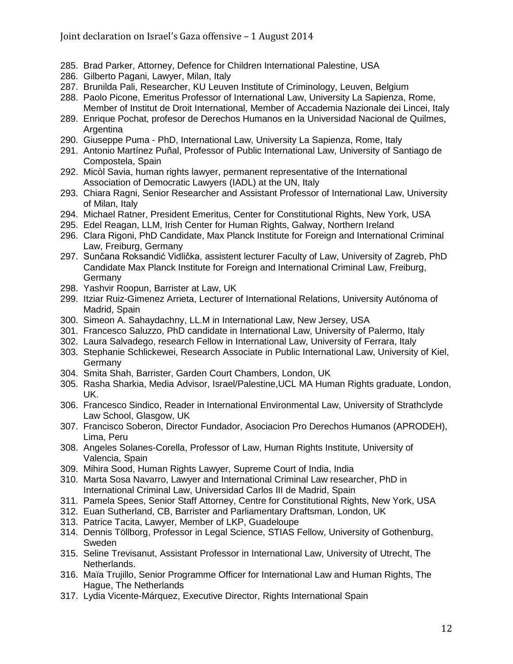- 285. Brad Parker, Attorney, Defence for Children International Palestine, USA
- 286. Gilberto Pagani, Lawyer, Milan, Italy
- 287. Brunilda Pali, Researcher, KU Leuven Institute of Criminology, Leuven, Belgium
- 288. Paolo Picone, Emeritus Professor of International Law, University La Sapienza, Rome, Member of Institut de Droit International, Member of Accademia Nazionale dei Lincei, Italy
- 289. Enrique Pochat, profesor de Derechos Humanos en la Universidad Nacional de Quilmes, Argentina
- 290. Giuseppe Puma PhD, International Law, University La Sapienza, Rome, Italy
- 291. Antonio Martínez Puñal, Professor of Public International Law, University of Santiago de Compostela, Spain
- 292. Micòl Savia, human rights lawyer, permanent representative of the International Association of Democratic Lawyers (IADL) at the UN, Italy
- 293. Chiara Ragni, Senior Researcher and Assistant Professor of International Law, University of Milan, Italy
- 294. Michael Ratner, President Emeritus, Center for Constitutional Rights, New York, USA
- 295. Edel Reagan, LLM, Irish Center for Human Rights, Galway, Northern Ireland
- 296. Clara Rigoni, PhD Candidate, Max Planck Institute for Foreign and International Criminal Law, Freiburg, Germany
- 297. Sunčana Roksandić Vidlička, assistent lecturer Faculty of Law, University of Zagreb, PhD Candidate Max Planck Institute for Foreign and International Criminal Law, Freiburg, Germany
- 298. Yashvir Roopun, Barrister at Law, UK
- 299. Itziar Ruiz-Gimenez Arrieta, Lecturer of International Relations, University Autónoma of Madrid, Spain
- 300. Simeon A. Sahaydachny, LL.M in International Law, New Jersey, USA
- 301. Francesco Saluzzo, PhD candidate in International Law, University of Palermo, Italy
- 302. Laura Salvadego, research Fellow in International Law, University of Ferrara, Italy
- 303. Stephanie Schlickewei, Research Associate in Public International Law, University of Kiel, Germany
- 304. Smita Shah, Barrister, Garden Court Chambers, London, UK
- 305. Rasha Sharkia, Media Advisor, Israel/Palestine,UCL MA Human Rights graduate, London, UK.
- 306. Francesco Sindico, Reader in International Environmental Law, University of Strathclyde Law School, Glasgow, UK
- 307. Francisco Soberon, Director Fundador, Asociacion Pro Derechos Humanos (APRODEH), Lima, Peru
- 308. Angeles Solanes-Corella, Professor of Law, Human Rights Institute, University of Valencia, Spain
- 309. Mihira Sood, Human Rights Lawyer, Supreme Court of India, India
- 310. Marta Sosa Navarro, Lawyer and International Criminal Law researcher, PhD in International Criminal Law, Universidad Carlos III de Madrid, Spain
- 311. Pamela Spees, Senior Staff Attorney, Centre for Constitutional Rights, New York, USA
- 312. Euan Sutherland, CB, Barrister and Parliamentary Draftsman, London, UK
- 313. Patrice Tacita, Lawyer, Member of LKP, Guadeloupe
- 314. Dennis Töllborg, Professor in Legal Science, STIAS Fellow, University of Gothenburg, Sweden
- 315. Seline Trevisanut, Assistant Professor in International Law, University of Utrecht, The Netherlands.
- 316. Maïa Trujillo, Senior Programme Officer for International Law and Human Rights, The Hague, The Netherlands
- 317. Lydia Vicente-Márquez, Executive Director, Rights International Spain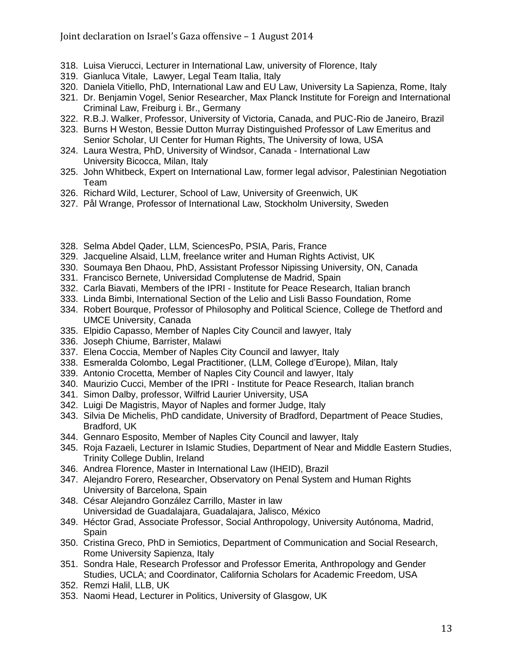- 318. Luisa Vierucci, Lecturer in International Law, university of Florence, Italy
- 319. Gianluca Vitale, Lawyer, Legal Team Italia, Italy
- 320. Daniela Vitiello, PhD, International Law and EU Law, University La Sapienza, Rome, Italy
- 321. Dr. Benjamin Vogel, Senior Researcher, Max Planck Institute for Foreign and International Criminal Law, Freiburg i. Br., Germany
- 322. R.B.J. Walker, Professor, University of Victoria, Canada, and PUC-Rio de Janeiro, Brazil
- 323. Burns H Weston, Bessie Dutton Murray Distinguished Professor of Law Emeritus and Senior Scholar, UI Center for Human Rights, The University of Iowa, USA
- 324. Laura Westra, PhD, University of Windsor, Canada International Law University Bicocca, Milan, Italy
- 325. John Whitbeck, Expert on International Law, former legal advisor, Palestinian Negotiation Team
- 326. Richard Wild, Lecturer, School of Law, University of Greenwich, UK
- 327. Pål Wrange, Professor of International Law, Stockholm University, Sweden
- 328. Selma Abdel Qader, LLM, SciencesPo, PSIA, Paris, France
- 329. Jacqueline Alsaid, LLM, freelance writer and Human Rights Activist, UK
- 330. Soumaya Ben Dhaou, PhD, Assistant Professor Nipissing University, ON, Canada
- 331. Francisco Bernete, Universidad Complutense de Madrid, Spain
- 332. Carla Biavati, Members of the IPRI Institute for Peace Research, Italian branch
- 333. Linda Bimbi, International Section of the Lelio and Lisli Basso Foundation, Rome
- 334. Robert Bourque, Professor of Philosophy and Political Science, College de Thetford and UMCE University, Canada
- 335. Elpidio Capasso, Member of Naples City Council and lawyer, Italy
- 336. Joseph Chiume, Barrister, Malawi
- 337. Elena Coccia, Member of Naples City Council and lawyer, Italy
- 338. Esmeralda Colombo, Legal Practitioner, (LLM, College d'Europe), Milan, Italy
- 339. Antonio Crocetta, Member of Naples City Council and lawyer, Italy
- 340. Maurizio Cucci, Member of the IPRI Institute for Peace Research, Italian branch
- 341. Simon Dalby, professor, Wilfrid Laurier University, USA
- 342. Luigi De Magistris, Mayor of Naples and former Judge, Italy
- 343. Silvia De Michelis, PhD candidate, University of Bradford, Department of Peace Studies, Bradford, UK
- 344. Gennaro Esposito, Member of Naples City Council and lawyer, Italy
- 345. Roja Fazaeli, Lecturer in Islamic Studies, Department of Near and Middle Eastern Studies, Trinity College Dublin, Ireland
- 346. Andrea Florence, Master in International Law (IHEID), Brazil
- 347. Alejandro Forero, Researcher, Observatory on Penal System and Human Rights University of Barcelona, Spain
- 348. César Alejandro González Carrillo, Master in law Universidad de Guadalajara, Guadalajara, Jalisco, México
- 349. Héctor Grad, Associate Professor, Social Anthropology, University Autónoma, Madrid, Spain
- 350. Cristina Greco, PhD in Semiotics, Department of Communication and Social Research, Rome University Sapienza, Italy
- 351. Sondra Hale, Research Professor and Professor Emerita, Anthropology and Gender Studies, UCLA; and Coordinator, California Scholars for Academic Freedom, USA
- 352. Remzi Halil, LLB, UK
- 353. Naomi Head, Lecturer in Politics, University of Glasgow, UK